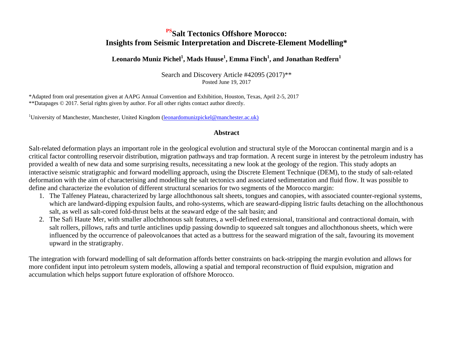## **PSSalt Tectonics Offshore Morocco: Insights from Seismic Interpretation and Discrete-Element Modelling\***

#### **Leonardo Muniz Pichel<sup>1</sup> , Mads Huuse<sup>1</sup> , Emma Finch<sup>1</sup> , and Jonathan Redfern<sup>1</sup>**

Search and Discovery Article #42095 (2017)\*\* Posted June 19, 2017

\*Adapted from oral presentation given at AAPG Annual Convention and Exhibition, Houston, Texas, April 2-5, 2017 \*\*Datapages © 2017. Serial rights given by author. For all other rights contact author directly.

<sup>1</sup>University of Manchester, Manchester, United Kingdom (leonardomunizpickel@manchester.ac.uk)

#### **Abstract**

Salt-related deformation plays an important role in the geological evolution and structural style of the Moroccan continental margin and is a critical factor controlling reservoir distribution, migration pathways and trap formation. A recent surge in interest by the petroleum industry has provided a wealth of new data and some surprising results, necessitating a new look at the geology of the region. This study adopts an interactive seismic stratigraphic and forward modelling approach, using the Discrete Element Technique (DEM), to the study of salt-related deformation with the aim of characterising and modelling the salt tectonics and associated sedimentation and fluid flow. It was possible to define and characterize the evolution of different structural scenarios for two segments of the Morocco margin:

- 1. The Talfeney Plateau, characterized by large allochthonous salt sheets, tongues and canopies, with associated counter-regional systems, which are landward-dipping expulsion faults, and roho-systems, which are seaward-dipping listric faults detaching on the allochthonous salt, as well as salt-cored fold-thrust belts at the seaward edge of the salt basin; and
- 2. The Safi Haute Mer, with smaller allochthonous salt features, a well-defined extensional, transitional and contractional domain, with salt rollers, pillows, rafts and turtle anticlines updip passing downdip to squeezed salt tongues and allochthonous sheets, which were influenced by the occurrence of paleovolcanoes that acted as a buttress for the seaward migration of the salt, favouring its movement upward in the stratigraphy.

The integration with forward modelling of salt deformation affords better constraints on back-stripping the margin evolution and allows for more confident input into petroleum system models, allowing a spatial and temporal reconstruction of fluid expulsion, migration and accumulation which helps support future exploration of offshore Morocco.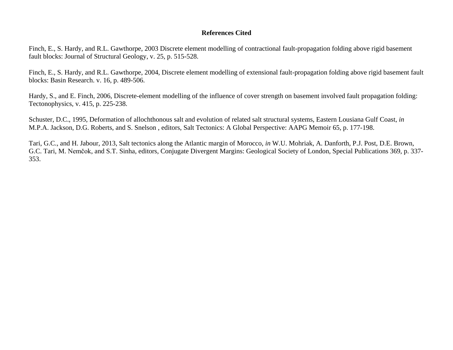#### **References Cited**

Finch, E., S. Hardy, and R.L. Gawthorpe, 2003 Discrete element modelling of contractional fault-propagation folding above rigid basement fault blocks: Journal of Structural Geology, v. 25, p. 515-528.

Finch, E., S. Hardy, and R.L. Gawthorpe, 2004, Discrete element modelling of extensional fault-propagation folding above rigid basement fault blocks: Basin Research. v. 16, p. 489-506.

Hardy, S., and E. Finch, 2006, Discrete-element modelling of the influence of cover strength on basement involved fault propagation folding: Tectonophysics, v. 415, p. 225-238.

Schuster, D.C., 1995, Deformation of allochthonous salt and evolution of related salt structural systems, Eastern Lousiana Gulf Coast, *in* M.P.A. Jackson, D.G. Roberts, and S. Snelson , editors, Salt Tectonics: A Global Perspective: AAPG Memoir 65, p. 177-198.

Tari, G.C., and H. Jabour, 2013, Salt tectonics along the Atlantic margin of Morocco, *in* W.U. Mohriak, A. Danforth, P.J. Post, D.E. Brown, G.C. Tari, M. Nemčok, and S.T. Sinha, editors, Conjugate Divergent Margins: Geological Society of London, Special Publications 369, p. 337- 353.